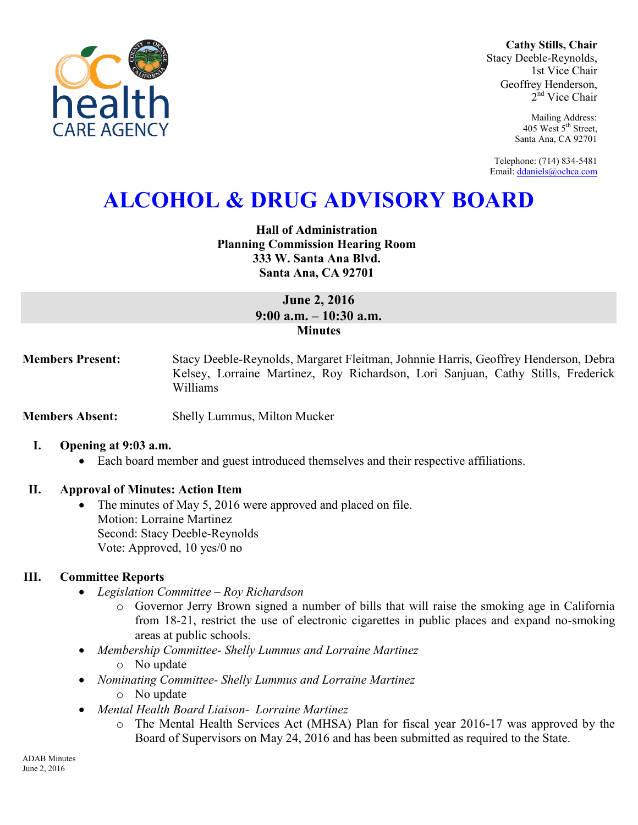

**Cathy Stills, Chair** Stacy Deeble-Reynolds, 1st Vice Chair Geoffrey Henderson, 2<sup>nd</sup> Vice Chair

> Mailing Address: 405 West 5<sup>th</sup> Street, Santa Ana, CA 92701

Telephone: (714) 834-5481 Email[: ddaniels@ochca.com](mailto:ddaniels@ochca.com)

# **ALCOHOL & DRUG ADVISORY BOARD**

**Hall of Administration Planning Commission Hearing Room 333 W. Santa Ana Blvd. Santa Ana, CA 92701** 

## **June 2, 2016 9:00 a.m. – 10:30 a.m. Minutes**

**Members Present:** Stacy Deeble-Reynolds, Margaret Fleitman, Johnnie Harris, Geoffrey Henderson, Debra Kelsey, Lorraine Martinez, Roy Richardson, Lori Sanjuan, Cathy Stills, Frederick Williams

**Members Absent:** Shelly Lummus, Milton Mucker

## **I. Opening at 9:03 a.m.**

Each board member and guest introduced themselves and their respective affiliations.

## **II. Approval of Minutes: Action Item**

• The minutes of May 5, 2016 were approved and placed on file. Motion: Lorraine Martinez Second: Stacy Deeble-Reynolds Vote: Approved, 10 yes/0 no

## **III. Committee Reports**

- *Legislation Committee Roy Richardson* 
	- o Governor Jerry Brown signed a number of bills that will raise the smoking age in California from 18-21, restrict the use of electronic cigarettes in public places and expand no-smoking areas at public schools.
- *Membership Committee- Shelly Lummus and Lorraine Martinez*  o No update
- *Nominating Committee- Shelly Lummus and Lorraine Martinez* 
	- o No update
- *Mental Health Board Liaison- Lorraine Martinez* 
	- o The Mental Health Services Act (MHSA) Plan for fiscal year 2016-17 was approved by the Board of Supervisors on May 24, 2016 and has been submitted as required to the State.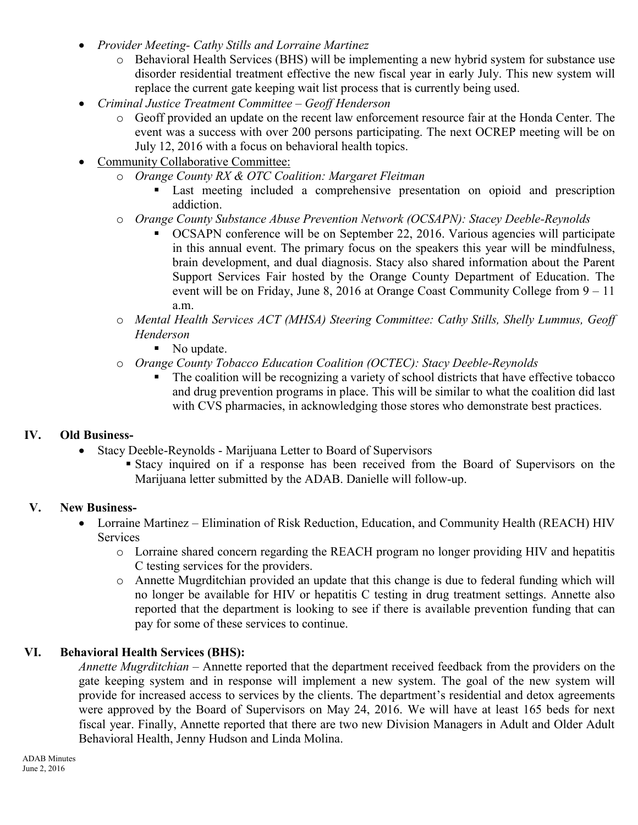- *Provider Meeting- Cathy Stills and Lorraine Martinez* 
	- o Behavioral Health Services (BHS) will be implementing a new hybrid system for substance use disorder residential treatment effective the new fiscal year in early July. This new system will replace the current gate keeping wait list process that is currently being used.
- *Criminal Justice Treatment Committee Geoff Henderson* 
	- o Geoff provided an update on the recent law enforcement resource fair at the Honda Center. The event was a success with over 200 persons participating. The next OCREP meeting will be on July 12, 2016 with a focus on behavioral health topics.
- Community Collaborative Committee:
	- o *Orange County RX & OTC Coalition: Margaret Fleitman* 
		- Last meeting included a comprehensive presentation on opioid and prescription addiction.
	- o *Orange County Substance Abuse Prevention Network (OCSAPN): Stacey Deeble-Reynolds* 
		- OCSAPN conference will be on September 22, 2016. Various agencies will participate in this annual event. The primary focus on the speakers this year will be mindfulness, brain development, and dual diagnosis. Stacy also shared information about the Parent Support Services Fair hosted by the Orange County Department of Education. The event will be on Friday, June 8, 2016 at Orange Coast Community College from 9 – 11 a.m.
	- o *Mental Health Services ACT (MHSA) Steering Committee: Cathy Stills, Shelly Lummus, Geoff Henderson* 
		- No update.
	- o *Orange County Tobacco Education Coalition (OCTEC): Stacy Deeble-Reynolds* 
		- The coalition will be recognizing a variety of school districts that have effective tobacco and drug prevention programs in place. This will be similar to what the coalition did last with CVS pharmacies, in acknowledging those stores who demonstrate best practices.

## **IV. Old Business-**

- Stacy Deeble-Reynolds Marijuana Letter to Board of Supervisors
	- Stacy inquired on if a response has been received from the Board of Supervisors on the Marijuana letter submitted by the ADAB. Danielle will follow-up.

## **V. New Business-**

- Lorraine Martinez Elimination of Risk Reduction, Education, and Community Health (REACH) HIV **Services** 
	- o Lorraine shared concern regarding the REACH program no longer providing HIV and hepatitis C testing services for the providers.
	- o Annette Mugrditchian provided an update that this change is due to federal funding which will no longer be available for HIV or hepatitis C testing in drug treatment settings. Annette also reported that the department is looking to see if there is available prevention funding that can pay for some of these services to continue.

## **VI. Behavioral Health Services (BHS):**

*Annette Mugrditchian* – Annette reported that the department received feedback from the providers on the gate keeping system and in response will implement a new system. The goal of the new system will provide for increased access to services by the clients. The department's residential and detox agreements were approved by the Board of Supervisors on May 24, 2016. We will have at least 165 beds for next fiscal year. Finally, Annette reported that there are two new Division Managers in Adult and Older Adult Behavioral Health, Jenny Hudson and Linda Molina.